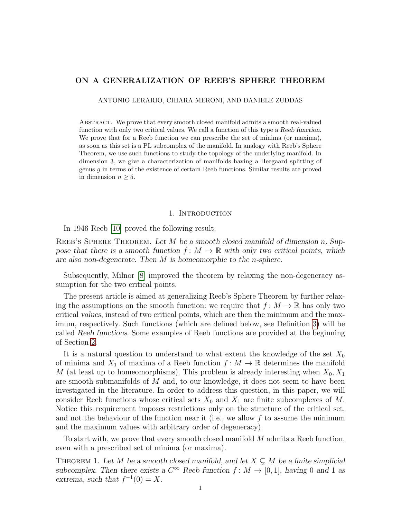# ON A GENERALIZATION OF REEB'S SPHERE THEOREM

ANTONIO LERARIO, CHIARA MERONI, AND DANIELE ZUDDAS

Abstract. We prove that every smooth closed manifold admits a smooth real-valued function with only two critical values. We call a function of this type a Reeb function. We prove that for a Reeb function we can prescribe the set of minima (or maxima), as soon as this set is a PL subcomplex of the manifold. In analogy with Reeb's Sphere Theorem, we use such functions to study the topology of the underlying manifold. In dimension 3, we give a characterization of manifolds having a Heegaard splitting of genus  $g$  in terms of the existence of certain Reeb functions. Similar results are proved in dimension  $n \geq 5$ .

#### 1. INTRODUCTION

<span id="page-0-1"></span>In 1946 Reeb [\[10\]](#page-10-0) proved the following result.

REEB'S SPHERE THEOREM. Let  $M$  be a smooth closed manifold of dimension n. Suppose that there is a smooth function  $f : M \to \mathbb{R}$  with only two critical points, which are also non-degenerate. Then M is homeomorphic to the n-sphere.

Subsequently, Milnor [\[8\]](#page-10-1) improved the theorem by relaxing the non-degeneracy assumption for the two critical points.

The present article is aimed at generalizing Reeb's Sphere Theorem by further relaxing the assumptions on the smooth function: we require that  $f: M \to \mathbb{R}$  has only two critical values, instead of two critical points, which are then the minimum and the maximum, respectively. Such functions (which are defined below, see Definition [3\)](#page-1-0) will be called Reeb functions. Some examples of Reeb functions are provided at the beginning of Section [2.](#page-1-1)

It is a natural question to understand to what extent the knowledge of the set  $X_0$ of minima and  $X_1$  of maxima of a Reeb function  $f: M \to \mathbb{R}$  determines the manifold M (at least up to homeomorphisms). This problem is already interesting when  $X_0, X_1$ are smooth submanifolds of  $M$  and, to our knowledge, it does not seem to have been investigated in the literature. In order to address this question, in this paper, we will consider Reeb functions whose critical sets  $X_0$  and  $X_1$  are finite subcomplexes of M. Notice this requirement imposes restrictions only on the structure of the critical set, and not the behaviour of the function near it (i.e., we allow  $f$  to assume the minimum and the maximum values with arbitrary order of degeneracy).

To start with, we prove that every smooth closed manifold M admits a Reeb function, even with a prescribed set of minima (or maxima).

<span id="page-0-0"></span>THEOREM 1. Let M be a smooth closed manifold, and let  $X \subseteq M$  be a finite simplicial subcomplex. Then there exists a  $C^{\infty}$  Reeb function  $f: M \to [0, 1]$ , having 0 and 1 as extrema, such that  $f^{-1}(0) = X$ .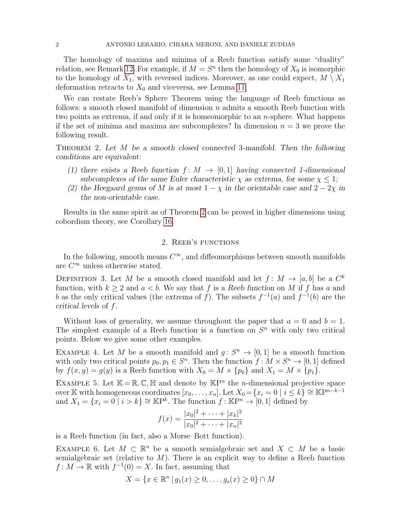The homology of maxima and minima of a Reeb function satisfy some "duality" relation, see Remark [12.](#page-7-0) For example, if  $M = S<sup>n</sup>$  then the homology of  $X_0$  is isomorphic to the homology of  $X_1$ , with reversed indices. Moreover, as one could expect,  $M \setminus X_1$ deformation retracts to  $X_0$  and viceversa, see Lemma [11.](#page-6-0)

We can restate Reeb's Sphere Theorem using the language of Reeb functions as follows: a smooth closed manifold of dimension  $n$  admits a smooth Reeb function with two points as extrema, if and only if it is homeomorphic to an *n*-sphere. What happens if the set of minima and maxima are subcomplexes? In dimension  $n = 3$  we prove the following result.

<span id="page-1-2"></span>Theorem 2. Let M be a smooth closed connected 3-manifold. Then the following conditions are equivalent:

- (1) there exists a Reeb function  $f: M \to [0, 1]$  having connected 1-dimensional subcomplexes of the same Euler characteristic  $\chi$  as extrema, for some  $\chi \leq 1$ ;
- (2) the Heegaard genus of M is at most  $1 \chi$  in the orientable case and  $2 2\chi$  in the non-orientable case.

Results in the same spirit as of Theorem [2](#page-1-2) can be proved in higher dimensions using cobordism theory, see Corollary [16.](#page-8-0)

## 2. Reeb's functions

<span id="page-1-1"></span>In the following, smooth means  $C^{\infty}$ , and diffeomorphisms between smooth manifolds are  $C^{\infty}$  unless otherwise stated.

<span id="page-1-0"></span>DEFINITION 3. Let M be a smooth closed manifold and let  $f: M \to [a, b]$  be a  $C^k$ function, with  $k \geq 2$  and  $a < b$ . We say that f is a Reeb function on M if f has a and b as the only critical values (the extrema of f). The subsets  $f^{-1}(a)$  and  $f^{-1}(b)$  are the critical levels of f.

Without loss of generality, we assume throughout the paper that  $a = 0$  and  $b = 1$ . The simplest example of a Reeb function is a function on  $S<sup>n</sup>$  with only two critical points. Below we give some other examples.

EXAMPLE 4. Let M be a smooth manifold and  $g: S^n \to [0,1]$  be a smooth function with only two critical points  $p_0, p_1 \in S<sup>n</sup>$ . Then the function  $f: M \times S<sup>n</sup> \to [0, 1]$  defined by  $f(x, y) = g(y)$  is a Reeb function with  $X_0 = M \times \{p_0\}$  and  $X_1 = M \times \{p_1\}$ .

EXAMPLE 5. Let  $\mathbb{K} = \mathbb{R}, \mathbb{C}, \mathbb{H}$  and denote by  $\mathbb{K}P^n$  the *n*-dimensional projective space over K with homogeneous coordinates  $[x_0, \ldots, x_n]$ . Let  $X_0 = \{x_i = 0 \mid i \leq k\} \cong \mathbb{K}P^{n-k-1}$ and  $X_1 = \{x_i = 0 \mid i > k\} \cong \mathbb{K}P^k$ . The function  $f : \mathbb{K}P^n \to [0,1]$  defined by

$$
f(x) = \frac{|x_0|^2 + \dots + |x_k|^2}{|x_0|^2 + \dots + |x_n|^2}
$$

is a Reeb function (in fact, also a Morse–Bott function).

EXAMPLE 6. Let  $M \subset \mathbb{R}^n$  be a smooth semialgebraic set and  $X \subset M$  be a basic semialgebraic set (relative to  $M$ ). There is an explicit way to define a Reeb function  $f: M \to \mathbb{R}$  with  $f^{-1}(0) = X$ . In fact, assuming that

$$
X = \{ x \in \mathbb{R}^n \mid g_1(x) \ge 0, \dots, g_s(x) \ge 0 \} \cap M
$$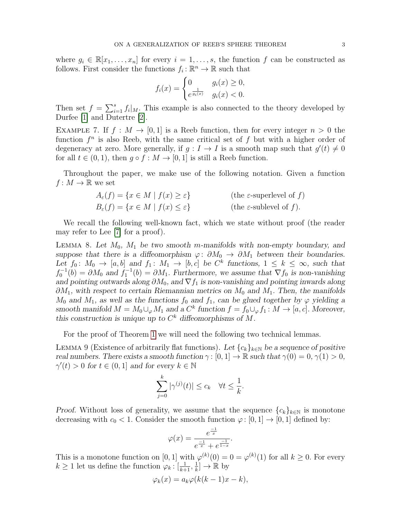where  $g_i \in \mathbb{R}[x_1,\ldots,x_n]$  for every  $i=1,\ldots,s$ , the function f can be constructed as follows. First consider the functions  $f_i: \mathbb{R}^n \to \mathbb{R}$  such that

$$
f_i(x) = \begin{cases} 0 & g_i(x) \ge 0, \\ e^{\frac{1}{g_i(x)}} & g_i(x) < 0. \end{cases}
$$

Then set  $f = \sum_{i=1}^{s} f_i |_{M}$ . This example is also connected to the theory developed by Durfee [\[1\]](#page-10-2) and Dutertre [\[2\]](#page-10-3).

EXAMPLE 7. If  $f : M \to [0, 1]$  is a Reeb function, then for every integer  $n > 0$  the function  $f^n$  is also Reeb, with the same critical set of f but with a higher order of degeneracy at zero. More generally, if  $g: I \to I$  is a smooth map such that  $g'(t) \neq 0$ for all  $t \in (0,1)$ , then  $g \circ f : M \to [0,1]$  is still a Reeb function.

Throughout the paper, we make use of the following notation. Given a function  $f: M \to \mathbb{R}$  we set

$$
A_{\varepsilon}(f) = \{x \in M \mid f(x) \ge \varepsilon\}
$$
 (the  $\varepsilon$ -superlevel of f)  

$$
B_{\varepsilon}(f) = \{x \in M \mid f(x) \le \varepsilon\}
$$
 (the  $\varepsilon$ -sublevel of f).

We recall the following well-known fact, which we state without proof (the reader may refer to Lee [\[7\]](#page-10-4) for a proof).

<span id="page-2-1"></span>LEMMA 8. Let  $M_0$ ,  $M_1$  be two smooth m-manifolds with non-empty boundary, and suppose that there is a diffeomorphism  $\varphi: \partial M_0 \to \partial M_1$  between their boundaries. Let  $f_0: M_0 \to [a, b]$  and  $f_1: M_1 \to [b, c]$  be  $C^k$  functions,  $1 \leq k \leq \infty$ , such that  $f_0^{-1}(b) = \partial M_0$  and  $f_1^{-1}(b) = \partial M_1$ . Furthermore, we assume that  $\nabla f_0$  is non-vanishing and pointing outwards along  $\partial M_0$ , and  $\nabla f_1$  is non-vanishing and pointing inwards along  $\partial M_1$ , with respect to certain Riemannian metrics on  $M_0$  and  $M_1$ . Then, the manifolds  $M_0$  and  $M_1$ , as well as the functions  $f_0$  and  $f_1$ , can be glued together by  $\varphi$  yielding a smooth manifold  $M = M_0 \cup_{\varphi} M_1$  and a  $C^k$  function  $f = f_0 \cup_{\varphi} f_1 : M \to [a, c]$ . Moreover, this construction is unique up to  $C^k$  diffeomorphisms of M.

For the proof of Theorem [1](#page-0-0) we will need the following two technical lemmas.

<span id="page-2-0"></span>LEMMA 9 (Existence of arbitrarily flat functions). Let  ${c_k}_{k\in\mathbb{N}}$  be a sequence of positive real numbers. There exists a smooth function  $\gamma : [0, 1] \to \mathbb{R}$  such that  $\gamma(0) = 0, \gamma(1) > 0$ ,  $\gamma'(t) > 0$  for  $t \in (0, 1]$  and for every  $k \in \mathbb{N}$ 

$$
\sum_{j=0}^k |\gamma^{(j)}(t)| \leq c_k \quad \forall t \leq \frac{1}{k}.
$$

Proof. Without loss of generality, we assume that the sequence  ${c_k}_{k\in\mathbb{N}}$  is monotone decreasing with  $c_0 < 1$ . Consider the smooth function  $\varphi : [0, 1] \to [0, 1]$  defined by:

$$
\varphi(x) = \frac{e^{\frac{-1}{x}}}{e^{\frac{-1}{x}} + e^{\frac{-1}{1-x}}}.
$$

This is a monotone function on [0, 1] with  $\varphi^{(k)}(0) = 0 = \varphi^{(k)}(1)$  for all  $k \geq 0$ . For every  $k \geq 1$  let us define the function  $\varphi_k : [\frac{1}{k+1}, \frac{1}{k}]$  $\frac{1}{k}] \rightarrow \mathbb{R}$  by

$$
\varphi_k(x) = a_k \varphi(k(k-1)x - k),
$$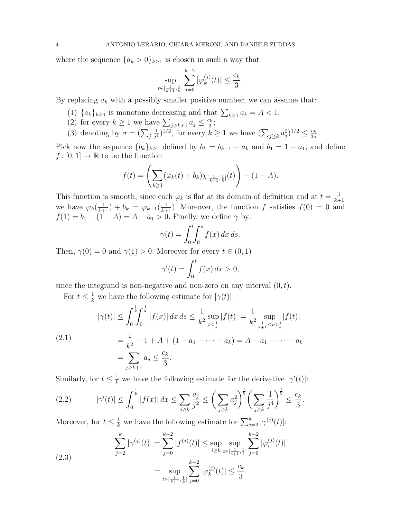where the sequence  ${a_k > 0}_{k\geq 1}$  is chosen in such a way that

$$
\sup_{t \in [\frac{1}{k+1},\frac{1}{k}]} \sum_{j=0}^{k-2} |\varphi_k^{(j)}(t)| \le \frac{c_k}{3}.
$$

By replacing  $a_k$  with a possibly smaller positive number, we can assume that:

- (1)  ${a_k}_{k \geq 1}$  is monotone decreasing and that  $\sum_{k \geq 1} a_k = A < 1$ .
- (2) for every  $k \geq 1$  we have  $\sum_{j \geq k+1} a_j \leq \frac{c_k}{3}$  $\frac{c_k}{3}$ ;
- (3) denoting by  $\sigma = (\sum_j$ 1  $(\sum_{j\geq k} a_j^2)^{1/2} \leq \frac{c_k}{3\sigma^2}$  for every  $k \geq 1$  we have  $(\sum_{j\geq k} a_j^2)^{1/2} \leq \frac{c_k}{3\sigma^2}$  $\frac{c_k}{3\sigma}$ .

Pick now the sequence  ${b_k}_{k\geq 1}$  defined by  $b_k = b_{k-1} - a_k$  and  $b_1 = 1 - a_1$ , and define  $f : [0, 1] \to \mathbb{R}$  to be the function

$$
f(t) = \left(\sum_{k\geq 1} (\varphi_k(t) + b_k) \chi_{[\frac{1}{k+1}, \frac{1}{k}]}(t)\right) - (1 - A).
$$

This function is smooth, since each  $\varphi_k$  is flat at its domain of definition and at  $t = \frac{1}{k+1}$  $k+1$ we have  $\varphi_k(\frac{1}{k+1}) + b_k = \varphi_{k+1}(\frac{1}{k+1})$ . Moreover, the function f satisfies  $f(0) = 0$  and  $f(1) = b_1 - (1 - A) = A - a_1 > 0$ . Finally, we define  $\gamma$  by:

$$
\gamma(t) = \int_0^t \int_0^s f(x) \, dx \, ds.
$$

Then,  $\gamma(0) = 0$  and  $\gamma(1) > 0$ . Moreover for every  $t \in (0, 1)$ 

$$
\gamma'(t) = \int_0^t f(x) \, dx > 0,
$$

since the integrand is non-negative and non-zero on any interval  $(0, t)$ .

For  $t \leq \frac{1}{k}$  we have the following estimate for  $|\gamma(t)|$ :

<span id="page-3-0"></span>
$$
|\gamma(t)| \le \int_0^{\frac{1}{k}} \int_0^{\frac{1}{k}} |f(x)| dx ds \le \frac{1}{k^2} \sup_{t \le \frac{1}{k}} |f(t)| = \frac{1}{k^2} \sup_{\frac{1}{k+1} \le t \le \frac{1}{k}} |f(t)|
$$
  
(2.1)  

$$
= \frac{1}{k^2} - 1 + A + (1 - a_1 - \dots - a_k) = A - a_1 - \dots - a_k
$$
  

$$
= \sum_{j \ge k+1} a_j \le \frac{c_k}{3}.
$$

Similarly, for  $t \leq \frac{1}{k}$  we have the following estimate for the derivative  $|\gamma'(t)|$ :

<span id="page-3-1"></span>(2.2) 
$$
|\gamma'(t)| \le \int_0^{\frac{1}{k}} |f(x)| dx \le \sum_{j \ge k} \frac{a_j}{j^2} \le \left(\sum_{j \ge k} a_j^2\right)^{\frac{1}{2}} \left(\sum_{j \ge k} \frac{1}{j^4}\right)^{\frac{1}{2}} \le \frac{c_k}{3}.
$$

Moreover, for  $t \leq \frac{1}{k}$  we have the following estimate for  $\sum_{j=2}^{k} |\gamma^{(j)}(t)|$ :

<span id="page-3-2"></span>(2.3) 
$$
\sum_{j=2}^{k} |\gamma^{(j)}(t)| = \sum_{j=0}^{k-2} |f^{(j)}(t)| \le \sup_{i \ge k} \sup_{t \in [\frac{1}{i+1}, \frac{1}{i}]} \sum_{j=0}^{k-2} |\varphi_i^{(j)}(t)|
$$

$$
= \sup_{t \in [\frac{1}{k+1}, \frac{1}{k}]} \sum_{j=0}^{k-2} |\varphi_k^{(j)}(t)| \le \frac{c_k}{3}.
$$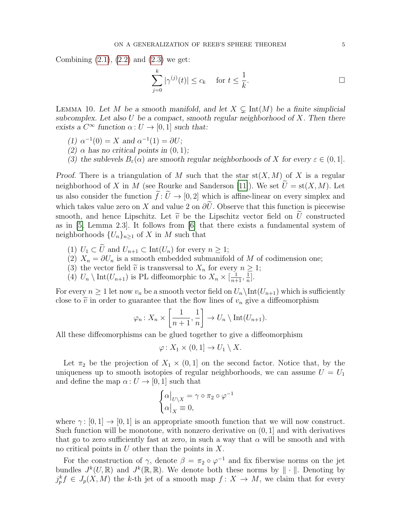Combining  $(2.1)$ ,  $(2.2)$  and  $(2.3)$  we get:

$$
\sum_{j=0}^{k} |\gamma^{(j)}(t)| \le c_k \quad \text{ for } t \le \frac{1}{k}.
$$

<span id="page-4-0"></span>LEMMA 10. Let M be a smooth manifold, and let  $X \subseteq \text{Int}(M)$  be a finite simplicial subcomplex. Let also  $U$  be a compact, smooth regular neighborhood of  $X$ . Then there exists a  $C^{\infty}$  function  $\alpha: U \to [0, 1]$  such that:

- (1)  $\alpha^{-1}(0) = X$  and  $\alpha^{-1}(1) = \partial U;$
- (2)  $\alpha$  has no critical points in  $(0, 1)$ ;
- (3) the sublevels  $B_{\varepsilon}(\alpha)$  are smooth regular neighborhoods of X for every  $\varepsilon \in (0,1]$ .

Proof. There is a triangulation of M such that the star  $st(X, M)$  of X is a regular neighborhood of X in M (see Rourke and Sanderson [\[11\]](#page-10-5)). We set  $\tilde{U} = \text{st}(X, M)$ . Let us also consider the function  $\tilde{f}: \tilde{U} \to [0, 2]$  which is affine-linear on every simplex and which takes value zero on X and value 2 on  $\partial \tilde{U}$ . Observe that this function is piecewise smooth, and hence Lipschitz. Let  $\tilde{v}$  be the Lipschitz vector field on U constructed as in [\[5,](#page-10-6) Lemma 2.3]. It follows from [\[6\]](#page-10-7) that there exists a fundamental system of neighborhoods  $\{U_n\}_{n\geq 1}$  of X in M such that

- (1)  $U_1 \subset \widetilde{U}$  and  $U_{n+1} \subset \text{Int}(U_n)$  for every  $n \geq 1$ ;
- (2)  $X_n = \partial U_n$  is a smooth embedded submanifold of M of codimension one;
- (3) the vector field  $\tilde{v}$  is transversal to  $X_n$  for every  $n \geq 1$ ;
- (4)  $U_n \setminus \text{Int}(U_{n+1})$  is PL diffeomorphic to  $X_n \times \left[\frac{1}{n+1}, \frac{1}{n}\right]$  $\frac{1}{n}$ .

For every  $n \geq 1$  let now  $v_n$  be a smooth vector field on  $U_n\setminus \text{Int}(U_{n+1})$  which is sufficiently close to  $\tilde{v}$  in order to guarantee that the flow lines of  $v_n$  give a diffeomorphism

$$
\varphi_n: X_n \times \left[\frac{1}{n+1}, \frac{1}{n}\right] \to U_n \setminus \text{Int}(U_{n+1}).
$$

All these diffeomorphisms can be glued together to give a diffeomorphism

$$
\varphi \colon X_1 \times (0,1] \to U_1 \setminus X.
$$

Let  $\pi_2$  be the projection of  $X_1 \times (0,1]$  on the second factor. Notice that, by the uniqueness up to smooth isotopies of regular neighborhoods, we can assume  $U = U_1$ and define the map  $\alpha: U \to [0, 1]$  such that

$$
\begin{cases} \alpha|_{U \setminus X} = \gamma \circ \pi_2 \circ \varphi^{-1} \\ \alpha|_X \equiv 0, \end{cases}
$$

where  $\gamma : [0, 1] \rightarrow [0, 1]$  is an appropriate smooth function that we will now construct. Such function will be monotone, with nonzero derivative on  $(0, 1]$  and with derivatives that go to zero sufficiently fast at zero, in such a way that  $\alpha$  will be smooth and with no critical points in  $U$  other than the points in  $X$ .

For the construction of  $\gamma$ , denote  $\beta = \pi_2 \circ \varphi^{-1}$  and fix fiberwise norms on the jet bundles  $J^k(U,\mathbb{R})$  and  $J^k(\mathbb{R},\mathbb{R})$ . We denote both these norms by  $\|\cdot\|$ . Denoting by  $j_p^k f \in J_p(X, M)$  the k-th jet of a smooth map  $f: X \to M$ , we claim that for every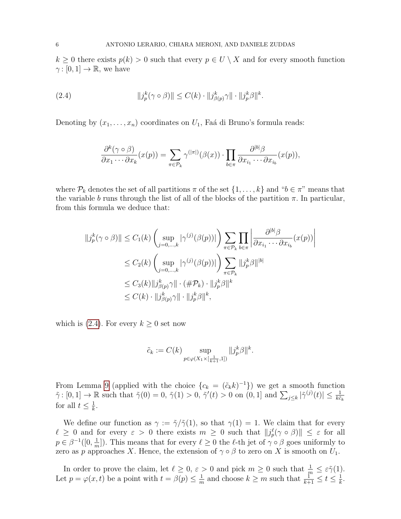$k \geq 0$  there exists  $p(k) > 0$  such that every  $p \in U \setminus X$  and for every smooth function  $\gamma : [0, 1] \to \mathbb{R}$ , we have

<span id="page-5-0"></span>(2.4) 
$$
||j_p^k(\gamma \circ \beta)|| \leq C(k) \cdot ||j_{\beta(p)}^k \gamma|| \cdot ||j_p^k \beta||^k.
$$

Denoting by  $(x_1, \ldots, x_n)$  coordinates on  $U_1$ , Faá di Bruno's formula reads:

$$
\frac{\partial^k(\gamma \circ \beta)}{\partial x_1 \cdots \partial x_k}(x(p)) = \sum_{\pi \in \mathcal{P}_k} \gamma^{(|\pi|)}(\beta(x)) \cdot \prod_{b \in \pi} \frac{\partial^{|b|} \beta}{\partial x_{i_1} \cdots \partial x_{i_b}}(x(p)),
$$

where  $\mathcal{P}_k$  denotes the set of all partitions  $\pi$  of the set  $\{1,\ldots,k\}$  and " $b \in \pi$ " means that the variable b runs through the list of all of the blocks of the partition  $\pi$ . In particular, from this formula we deduce that:

$$
||j_p^k(\gamma \circ \beta)|| \le C_1(k) \left( \sup_{j=0,\ldots,k} |\gamma^{(j)}(\beta(p))| \right) \sum_{\pi \in \mathcal{P}_k} \prod_{b \in \pi} \left| \frac{\partial^{|b|} \beta}{\partial x_{i_1} \cdots \partial x_{i_b}} (x(p)) \right|
$$
  

$$
\le C_2(k) \left( \sup_{j=0,\ldots,k} |\gamma^{(j)}(\beta(p))| \right) \sum_{\pi \in \mathcal{P}_k} ||j_p^k \beta||^{b|}
$$
  

$$
\le C_3(k) ||j_{\beta(p)}^k \gamma|| \cdot (\#\mathcal{P}_k) \cdot ||j_p^k \beta||^k
$$
  

$$
\le C(k) \cdot ||j_{\beta(p)}^k \gamma|| \cdot ||j_p^k \beta||^k,
$$

which is  $(2.4)$ . For every  $k \geq 0$  set now

$$
\tilde{c}_k := C(k) \sup_{p \in \varphi(X_1 \times [\frac{1}{k+1}, 1])} ||j_p^k \beta||^k.
$$

From Lemma [9](#page-2-0) (applied with the choice  $\{c_k = (\tilde{c}_k k)^{-1}\}\$  we get a smooth function  $\tilde{\gamma}: [0,1] \to \mathbb{R}$  such that  $\tilde{\gamma}(0) = 0$ ,  $\tilde{\gamma}(1) > 0$ ,  $\tilde{\gamma}'(t) > 0$  on  $(0,1]$  and  $\sum_{j \leq k} |\tilde{\gamma}^{(j)}(t)| \leq \frac{1}{k\tilde{c}_k}$ for all  $t \leq \frac{1}{k}$  $\frac{1}{k}$ .

We define our function as  $\gamma := \tilde{\gamma}/\tilde{\gamma}(1)$ , so that  $\gamma(1) = 1$ . We claim that for every  $\ell \geq 0$  and for every  $\varepsilon > 0$  there exists  $m \geq 0$  such that  $||j_p(\gamma \circ \beta)|| \leq \varepsilon$  for all  $p \in \beta^{-1}([0, \frac{1}{n}]$  $\frac{1}{m}$ ]). This means that for every  $\ell \geq 0$  the  $\ell$ -th jet of  $\gamma \circ \beta$  goes uniformly to zero as p approaches X. Hence, the extension of  $\gamma \circ \beta$  to zero on X is smooth on  $U_1$ .

In order to prove the claim, let  $\ell \geq 0$ ,  $\varepsilon > 0$  and pick  $m \geq 0$  such that  $\frac{1}{m} \leq \varepsilon \tilde{\gamma}(1)$ . Let  $p = \varphi(x, t)$  be a point with  $t = \beta(p) \leq \frac{1}{m}$  $\frac{1}{m}$  and choose  $k \geq m$  such that  $\frac{1}{k+1} \leq t \leq \frac{1}{k}$  $\frac{1}{k}$ .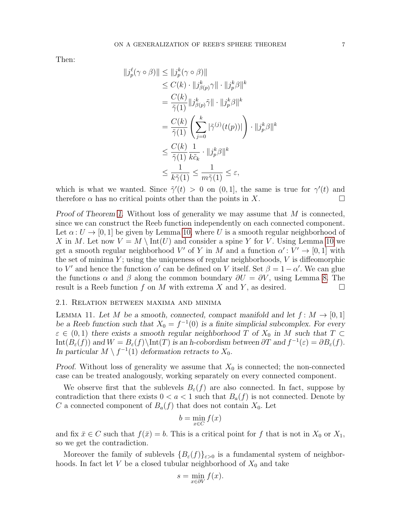Then:

$$
||j_p^{\ell}(\gamma \circ \beta)|| \le ||j_p^k(\gamma \circ \beta)||
$$
  
\n
$$
\le C(k) \cdot ||j_{\beta(p)}^k \gamma|| \cdot ||j_p^k \beta||^k
$$
  
\n
$$
= \frac{C(k)}{\tilde{\gamma}(1)} ||j_{\beta(p)}^k \tilde{\gamma}|| \cdot ||j_p^k \beta||^k
$$
  
\n
$$
= \frac{C(k)}{\tilde{\gamma}(1)} \left( \sum_{j=0}^k |\tilde{\gamma}^{(j)}(t(p))| \right) \cdot ||j_p^k \beta||^k
$$
  
\n
$$
\le \frac{C(k)}{\tilde{\gamma}(1)} \frac{1}{k\tilde{c}_k} \cdot ||j_p^k \beta||^k
$$
  
\n
$$
\le \frac{1}{k\tilde{\gamma}(1)} \le \frac{1}{m\tilde{\gamma}(1)} \le \varepsilon,
$$

which is what we wanted. Since  $\tilde{\gamma}'(t) > 0$  on  $(0,1]$ , the same is true for  $\gamma'(t)$  and therefore  $\alpha$  has no critical points other than the points in X.

Proof of Theorem [1.](#page-0-0) Without loss of generality we may assume that M is connected, since we can construct the Reeb function independently on each connected component. Let  $\alpha: U \to [0, 1]$  be given by Lemma [10,](#page-4-0) where U is a smooth regular neighborhood of X in M. Let now  $V = M \setminus \text{Int}(U)$  and consider a spine Y for V. Using Lemma [10](#page-4-0) we get a smooth regular neighborhood V' of Y in M and a function  $\alpha' : V' \to [0, 1]$  with the set of minima  $Y$ ; using the uniqueness of regular neighborhoods,  $V$  is diffeomorphic to V' and hence the function  $\alpha'$  can be defined on V itself. Set  $\beta = 1 - \alpha'$ . We can glue the functions  $\alpha$  and  $\beta$  along the common boundary  $\partial U = \partial V$ , using Lemma [8.](#page-2-1) The result is a Reeb function f on M with extrema X and Y, as desired.  $\square$ 

## 2.1. Relation between maxima and minima

<span id="page-6-0"></span>LEMMA 11. Let M be a smooth, connected, compact manifold and let  $f: M \to [0,1]$ be a Reeb function such that  $X_0 = f^{-1}(0)$  is a finite simplicial subcomplex. For every  $\varepsilon \in (0,1)$  there exists a smooth regular neighborhood T of  $X_0$  in M such that  $T \subset$ Int $(B_{\varepsilon}(f))$  and  $W = B_{\varepsilon}(f) \setminus \text{Int}(T)$  is an h-cobordism between  $\partial T$  and  $f^{-1}(\varepsilon) = \partial B_{\varepsilon}(f)$ . In particular  $M \setminus f^{-1}(1)$  deformation retracts to  $X_0$ .

Proof. Without loss of generality we assume that  $X_0$  is connected; the non-connected case can be treated analogously, working separately on every connected component.

We observe first that the sublevels  $B_{\varepsilon}(f)$  are also connected. In fact, suppose by contradiction that there exists  $0 < a < 1$  such that  $B_a(f)$  is not connected. Denote by C a connected component of  $B_a(f)$  that does not contain  $X_0$ . Let

$$
b = \min_{x \in C} f(x)
$$

and fix  $\bar{x} \in C$  such that  $f(\bar{x}) = b$ . This is a critical point for f that is not in  $X_0$  or  $X_1$ , so we get the contradiction.

Moreover the family of sublevels  ${B_{\varepsilon}(f)}_{\varepsilon>0}$  is a fundamental system of neighborhoods. In fact let  $V$  be a closed tubular neighborhood of  $X_0$  and take

$$
s = \min_{x \in \partial V} f(x).
$$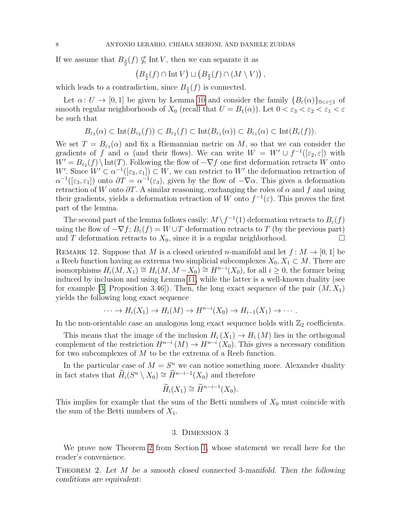If we assume that  $B_{\frac{s}{2}}(f) \nsubseteq \text{Int } V$ , then we can separate it as

$$
(B_{\frac{s}{2}}(f) \cap \text{Int } V) \sqcup (B_{\frac{s}{2}}(f) \cap (M \setminus V)),
$$

which leads to a contradiction, since  $B_{\frac{s}{2}}(f)$  is connected.

Let  $\alpha: U \to [0,1]$  be given by Lemma [10](#page-4-0) and consider the family  ${B_{\varepsilon}(\alpha)}_{0 \leq \varepsilon \leq 1}$  of smooth regular neighborhoods of  $X_0$  (recall that  $U = B_1(\alpha)$ ). Let  $0 < \varepsilon_3 < \varepsilon_2 < \varepsilon_1 < \varepsilon$ be such that

$$
B_{\varepsilon_3}(\alpha) \subset \mathrm{Int}(B_{\varepsilon_2}(f)) \subset B_{\varepsilon_2}(f) \subset \mathrm{Int}(B_{\varepsilon_1}(\alpha)) \subset B_{\varepsilon_1}(\alpha) \subset \mathrm{Int}(B_{\varepsilon}(f)).
$$

We set  $T = B_{\varepsilon_3}(\alpha)$  and fix a Riemannian metric on M, so that we can consider the gradients of f and  $\alpha$  (and their flows). We can write  $W = W' \cup f^{-1}([\varepsilon_2, \varepsilon])$  with  $W' = B_{\varepsilon_2}(f) \setminus \text{Int}(T)$ . Following the flow of  $-\nabla f$  one first deformation retracts W onto W'. Since  $W' \subset \alpha^{-1}([\varepsilon_3, \varepsilon_1]) \subset W$ , we can restrict to W' the deformation retraction of  $\alpha^{-1}([\varepsilon_3, \varepsilon_1])$  onto  $\partial T = \alpha^{-1}(\varepsilon_3)$ , given by the flow of  $-\nabla \alpha$ . This gives a deformation retraction of W onto  $\partial T$ . A similar reasoning, exchanging the roles of  $\alpha$  and f and using their gradients, yields a deformation retraction of W onto  $f^{-1}(\varepsilon)$ . This proves the first part of the lemma.

The second part of the lemma follows easily:  $M \setminus f^{-1}(1)$  deformation retracts to  $B_{\varepsilon}(f)$ using the flow of  $-\nabla f$ ;  $B_{\varepsilon}(f) = W \cup T$  deformation retracts to T (by the previous part) and T deformation retracts to  $X_0$ , since it is a regular neighborhood.

<span id="page-7-0"></span>REMARK 12. Suppose that M is a closed oriented n-manifold and let  $f: M \to [0, 1]$  be a Reeb function having as extrema two simplicial subcomplexes  $X_0, X_1 \subset M$ . There are isomorphisms  $H_i(M, X_1) \cong H_i(M, M - X_0) \cong H^{n-i}(X_0)$ , for all  $i \geq 0$ , the former being induced by inclusion and using Lemma [11,](#page-6-0) while the latter is a well-known duality (see for example [\[3,](#page-10-8) Proposition 3.46]). Then, the long exact sequence of the pair  $(M, X_1)$ yields the following long exact sequence

$$
\cdots \to H_i(X_1) \to H_i(M) \to H^{n-i}(X_0) \to H_{i-1}(X_1) \to \cdots
$$

In the non-orientable case an analogous long exact sequence holds with  $\mathbb{Z}_2$  coefficients.

This means that the image of the inclusion  $H_i(X_1) \to H_i(M)$  lies in the orthogonal complement of the restriction  $H^{n-i}(M) \to H^{n-i}(X_0)$ . This gives a necessary condition for two subcomplexes of M to be the extrema of a Reeb function.

In the particular case of  $M = S<sup>n</sup>$  we can notice something more. Alexander duality in fact states that  $\widetilde{H}_i(S^n \setminus X_0) \cong \widetilde{H}^{n-i-1}(X_0)$  and therefore

$$
\widetilde{H}_i(X_1) \cong \widetilde{H}^{n-i-1}(X_0).
$$

This implies for example that the sum of the Betti numbers of  $X_0$  must coincide with the sum of the Betti numbers of  $X_1$ .

## 3. Dimension 3

We prove now Theorem [2](#page-1-2) from Section [1,](#page-0-1) whose statement we recall here for the reader's convenience.

THEOREM 2. Let  $M$  be a smooth closed connected 3-manifold. Then the following conditions are equivalent: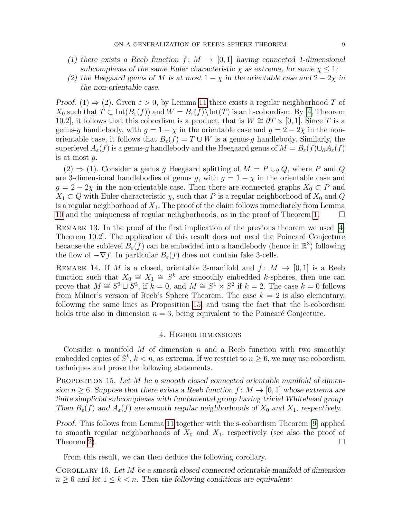- (1) there exists a Reeb function  $f: M \to [0, 1]$  having connected 1-dimensional subcomplexes of the same Euler characteristic  $\chi$  as extrema, for some  $\chi \leq 1$ ;
- (2) the Heegaard genus of M is at most  $1 \chi$  in the orientable case and  $2 2\chi$  in the non-orientable case.

Proof. (1)  $\Rightarrow$  (2). Given  $\varepsilon > 0$ , by Lemma [11](#page-6-0) there exists a regular neighborhood T of  $X_0$  such that  $T \subset \text{Int}(B_\varepsilon(f))$  and  $W = B_\varepsilon(f) \setminus \text{Int}(T)$  is an h-cobordism. By [\[4,](#page-10-9) Theorem 10.2], it follows that this cobordism is a product, that is  $W \cong \partial T \times [0,1]$ . Since T is a genus-g handlebody, with  $g = 1 - \chi$  in the orientable case and  $g = 2 - 2\chi$  in the nonorientable case, it follows that  $B_{\varepsilon}(f) = T \cup W$  is a genus-g handlebody. Similarly, the superlevel  $A_\varepsilon(f)$  is a genus-g handlebody and the Heegaard genus of  $M = B_\varepsilon(f) \cup \partial A_\varepsilon(f)$ is at most g.

 $(2) \Rightarrow (1)$ . Consider a genus g Heegaard splitting of  $M = P \cup_{\partial} Q$ , where P and Q are 3-dimensional handlebodies of genus g, with  $g = 1 - \chi$  in the orientable case and  $g = 2 - 2\chi$  in the non-orientable case. Then there are connected graphs  $X_0 \subset P$  and  $X_1 \subset Q$  with Euler characteristic  $\chi$ , such that P is a regular neighborhood of  $X_0$  and Q is a regular neighborhood of  $X_1$ . The proof of the claim follows immediately from Lemma [10](#page-4-0) and the uniqueness of regular neihgborhoods, as in the proof of Theorem [1.](#page-0-0)

Remark 13. In the proof of the first implication of the previous theorem we used [\[4,](#page-10-9) Theorem 10.2. The application of this result does not need the Poincaré Conjecture because the sublevel  $B_{\varepsilon}(f)$  can be embedded into a handlebody (hence in  $\mathbb{R}^3$ ) following the flow of  $-\nabla f$ . In particular  $B_{\varepsilon}(f)$  does not contain fake 3-cells.

REMARK 14. If M is a closed, orientable 3-manifold and  $f: M \rightarrow [0,1]$  is a Reeb function such that  $X_0 \cong X_1 \cong S^k$  are smoothly embedded k-spheres, then one can prove that  $M \cong S^3 \sqcup S^3$ , if  $k = 0$ , and  $M \cong S^1 \times S^2$  if  $k = 2$ . The case  $k = 0$  follows from Milnor's version of Reeb's Sphere Theorem. The case  $k = 2$  is also elementary, following the same lines as Proposition [15,](#page-8-1) and using the fact that the h-cobordism holds true also in dimension  $n = 3$ , being equivalent to the Poincaré Conjecture.

# 4. Higher dimensions

Consider a manifold  $M$  of dimension  $n$  and a Reeb function with two smoothly embedded copies of  $S^k$ ,  $k < n$ , as extrema. If we restrict to  $n \geq 6$ , we may use cobordism techniques and prove the following statements.

<span id="page-8-1"></span>**PROPOSITION** 15. Let M be a smooth closed connected orientable manifold of dimension  $n > 6$ . Suppose that there exists a Reeb function  $f: M \to [0, 1]$  whose extrema are finite simplicial subcomplexes with fundamental group having trivial Whitehead group. Then  $B_{\varepsilon}(f)$  and  $A_{\varepsilon}(f)$  are smooth regular neighborhoods of  $X_0$  and  $X_1$ , respectively.

Proof. This follows from Lemma [11](#page-6-0) together with the s-cobordism Theorem [\[9\]](#page-10-10) applied to smooth regular neighborhoods of  $X_0$  and  $X_1$ , respectively (see also the proof of Theorem [2\)](#page-1-2).  $\Box$ 

From this result, we can then deduce the following corollary.

<span id="page-8-0"></span>Corollary 16. Let M be a smooth closed connected orientable manifold of dimension  $n \geq 6$  and let  $1 \leq k \leq n$ . Then the following conditions are equivalent: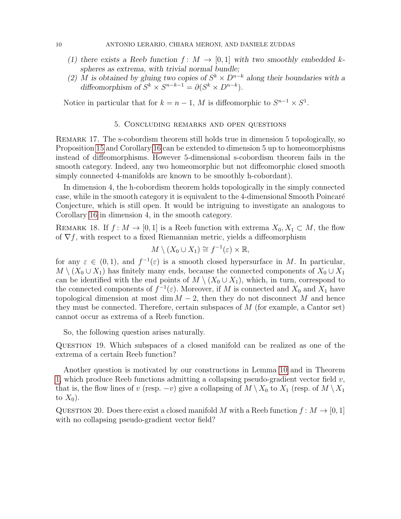- (1) there exists a Reeb function  $f: M \to [0,1]$  with two smoothly embedded kspheres as extrema, with trivial normal bundle;
- (2) M is obtained by gluing two copies of  $S^k \times D^{n-k}$  along their boundaries with a diffeomorphism of  $S^k \times S^{n-k-1} = \partial (S^k \times D^{n-k}).$

Notice in particular that for  $k = n - 1$ , M is diffeomorphic to  $S^{n-1} \times S^1$ .

## 5. Concluding remarks and open questions

Remark 17. The s-cobordism theorem still holds true in dimension 5 topologically, so Proposition [15](#page-8-1) and Corollary [16](#page-8-0) can be extended to dimension 5 up to homeomorphisms instead of diffeomorphisms. However 5-dimensional s-cobordism theorem fails in the smooth category. Indeed, any two homeomorphic but not diffeomorphic closed smooth simply connected 4-manifolds are known to be smoothly h-cobordant).

In dimension 4, the h-cobordism theorem holds topologically in the simply connected case, while in the smooth category it is equivalent to the 4-dimensional Smooth Poincar´e Conjecture, which is still open. It would be intriguing to investigate an analogous to Corollary [16](#page-8-0) in dimension 4, in the smooth category.

REMARK 18. If  $f: M \to [0,1]$  is a Reeb function with extrema  $X_0, X_1 \subset M$ , the flow of  $\nabla f$ , with respect to a fixed Riemannian metric, yields a diffeomorphism

$$
M\setminus (X_0\cup X_1)\cong f^{-1}(\varepsilon)\times \mathbb{R},
$$

for any  $\varepsilon \in (0,1)$ , and  $f^{-1}(\varepsilon)$  is a smooth closed hypersurface in M. In particular,  $M \setminus (X_0 \cup X_1)$  has finitely many ends, because the connected components of  $X_0 \cup X_1$ can be identified with the end points of  $M \setminus (X_0 \cup X_1)$ , which, in turn, correspond to the connected components of  $f^{-1}(\varepsilon)$ . Moreover, if M is connected and  $X_0$  and  $X_1$  have topological dimension at most dim  $M-2$ , then they do not disconnect M and hence they must be connected. Therefore, certain subspaces of  $M$  (for example, a Cantor set) cannot occur as extrema of a Reeb function.

So, the following question arises naturally.

Question 19. Which subspaces of a closed manifold can be realized as one of the extrema of a certain Reeb function?

Another question is motivated by our constructions in Lemma [10](#page-4-0) and in Theorem [1,](#page-0-0) which produce Reeb functions admitting a collapsing pseudo-gradient vector field  $v$ , that is, the flow lines of v (resp.  $-v$ ) give a collapsing of  $M \setminus X_0$  to  $X_1$  (resp. of  $M \setminus X_1$ to  $X_0$ ).

QUESTION 20. Does there exist a closed manifold M with a Reeb function  $f : M \to [0, 1]$ with no collapsing pseudo-gradient vector field?